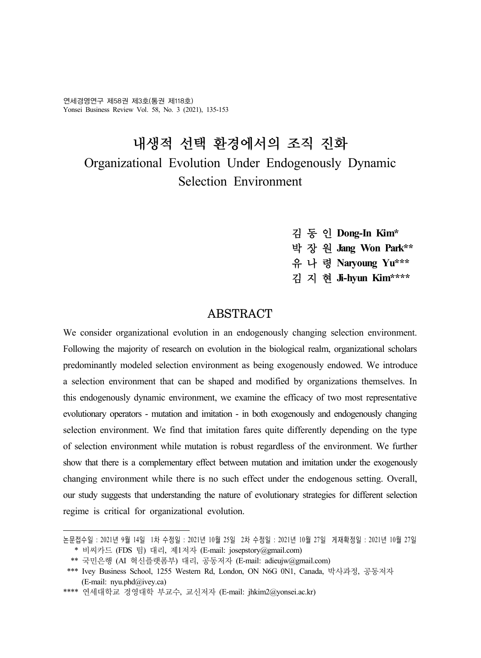연세경영연구 제58권 제3호(통권 제118호) Yonsei Business Review Vol. 58, No. 3 (2021), 135-153

# 내생적 선택 환경에서의 조직 진화 Organizational Evolution Under Endogenously Dynamic Selection Environment

- 김 동 인 **Dong-In Kim\***
- 박 장 원 **Jang Won Park\*\***
- 유 나 령 **Naryoung Yu\*\*\***
- 김 지 현 **Ji-hyun Kim\*\*\*\***

# ABSTRACT

We consider organizational evolution in an endogenously changing selection environment. Following the majority of research on evolution in the biological realm, organizational scholars predominantly modeled selection environment as being exogenously endowed. We introduce a selection environment that can be shaped and modified by organizations themselves. In this endogenously dynamic environment, we examine the efficacy of two most representative evolutionary operators - mutation and imitation - in both exogenously and endogenously changing selection environment. We find that imitation fares quite differently depending on the type of selection environment while mutation is robust regardless of the environment. We further show that there is a complementary effect between mutation and imitation under the exogenously changing environment while there is no such effect under the endogenous setting. Overall, our study suggests that understanding the nature of evolutionary strategies for different selection regime is critical for organizational evolution.

논문접수일 : 2021년 9월 14일 1차 수정일 : 2021년 10월 25일 2차 수정일 : 2021년 10월 27일 게재확정일 : 2021년 10월 27일 \* 비씨카드 (FDS 팀) 대리, 제1저자 (E-mail: josepstory@gmail.com)

 <sup>\*\*</sup> 국민은행 (AI 혁신플랫폼부) 대리, 공동저자 (E-mail: adieujw@gmail.com)

 <sup>\*\*\*</sup> Ivey Business School, 1255 Western Rd, London, ON N6G 0N1, Canada, 박사과정, 공동저자 (E-mail: nyu.phd@ivey.ca)

<sup>\*\*\*\*</sup> 연세대학교 경영대학 부교수, 교신저자 (E-mail: jhkim2@yonsei.ac.kr)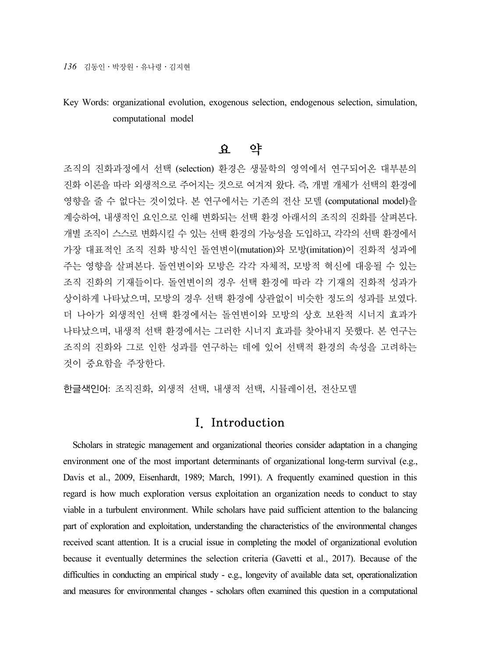Key Words: organizational evolution, exogenous selection, endogenous selection, simulation, computational model

# 요 약

조직의 진화과정에서 선택 (selection) 환경은 생물학의 영역에서 연구되어온 대부분의 진화 이론을 따라 외생적으로 주어지는 것으로 여겨져 왔다. 즉, 개별 개체가 선택의 환경에 영향을 줄 수 없다는 것이었다. 본 연구에서는 기존의 전산 모델 (computational model)을 계승하여, 내생적인 요인으로 인해 변화되는 선택 환경 아래서의 조직의 진화를 살펴본다. 개별 조직이 스스로 변화시킬 수 있는 선택 환경의 가능성을 도입하고, 각각의 선택 환경에서 가장 대표적인 조직 진화 방식인 돌연변이(mutation)와 모방(imitation)이 진화적 성과에 주는 영향을 살펴본다. 돌연변이와 모방은 각각 자체적, 모방적 혁신에 대응될 수 있는 조직 진화의 기재들이다. 돌연변이의 경우 선택 환경에 따라 각 기재의 진화적 성과가 상이하게 나타났으며, 모방의 경우 선택 환경에 상관없이 비슷한 정도의 성과를 보였다. 더 나아가 외생적인 선택 환경에서는 돌연변이와 모방의 상호 보완적 시너지 효과가 나타났으며, 내생적 선택 환경에서는 그러한 시너지 효과를 찾아내지 못했다. 본 연구는 조직의 진화와 그로 인한 성과를 연구하는 데에 있어 선택적 환경의 속성을 고려하는 것이 중요함을 주장한다.

한글색인어: 조직진화, 외생적 선택, 내생적 선택, 시뮬레이션, 전산모델

# I. Introduction

Scholars in strategic management and organizational theories consider adaptation in a changing environment one of the most important determinants of organizational long-term survival (e.g., Davis et al., 2009, Eisenhardt, 1989; March, 1991). A frequently examined question in this regard is how much exploration versus exploitation an organization needs to conduct to stay viable in a turbulent environment. While scholars have paid sufficient attention to the balancing part of exploration and exploitation, understanding the characteristics of the environmental changes received scant attention. It is a crucial issue in completing the model of organizational evolution because it eventually determines the selection criteria (Gavetti et al., 2017). Because of the difficulties in conducting an empirical study - e.g., longevity of available data set, operationalization and measures for environmental changes - scholars often examined this question in a computational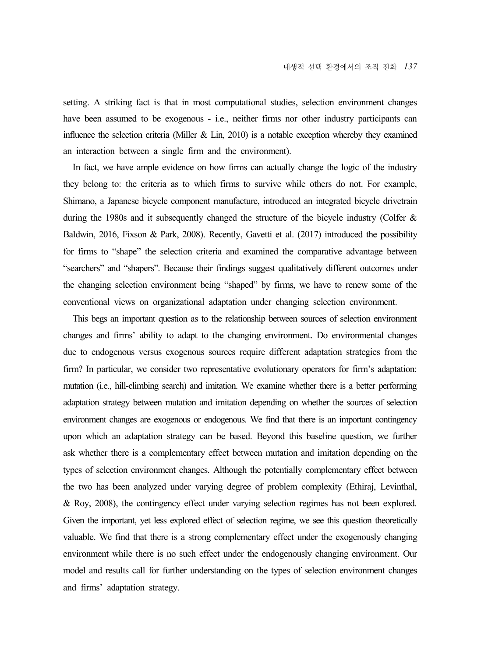setting. A striking fact is that in most computational studies, selection environment changes have been assumed to be exogenous - i.e., neither firms nor other industry participants can influence the selection criteria (Miller & Lin, 2010) is a notable exception whereby they examined an interaction between a single firm and the environment).

In fact, we have ample evidence on how firms can actually change the logic of the industry they belong to: the criteria as to which firms to survive while others do not. For example, Shimano, a Japanese bicycle component manufacture, introduced an integrated bicycle drivetrain during the 1980s and it subsequently changed the structure of the bicycle industry (Colfer  $\&$ Baldwin, 2016, Fixson & Park, 2008). Recently, Gavetti et al. (2017) introduced the possibility for firms to "shape" the selection criteria and examined the comparative advantage between "searchers" and "shapers". Because their findings suggest qualitatively different outcomes under the changing selection environment being "shaped" by firms, we have to renew some of the conventional views on organizational adaptation under changing selection environment.

This begs an important question as to the relationship between sources of selection environment changes and firms' ability to adapt to the changing environment. Do environmental changes due to endogenous versus exogenous sources require different adaptation strategies from the firm? In particular, we consider two representative evolutionary operators for firm's adaptation: mutation (i.e., hill-climbing search) and imitation. We examine whether there is a better performing adaptation strategy between mutation and imitation depending on whether the sources of selection environment changes are exogenous or endogenous. We find that there is an important contingency upon which an adaptation strategy can be based. Beyond this baseline question, we further ask whether there is a complementary effect between mutation and imitation depending on the types of selection environment changes. Although the potentially complementary effect between the two has been analyzed under varying degree of problem complexity (Ethiraj, Levinthal, & Roy, 2008), the contingency effect under varying selection regimes has not been explored. Given the important, yet less explored effect of selection regime, we see this question theoretically valuable. We find that there is a strong complementary effect under the exogenously changing environment while there is no such effect under the endogenously changing environment. Our model and results call for further understanding on the types of selection environment changes and firms' adaptation strategy.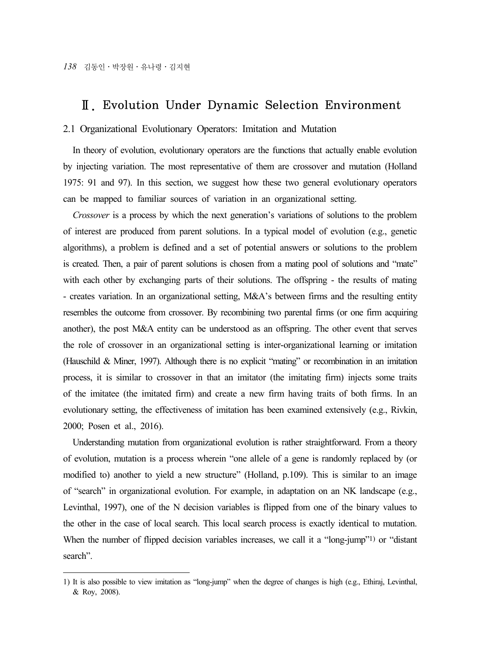# Ⅱ. Evolution Under Dynamic Selection Environment

## 2.1 Organizational Evolutionary Operators: Imitation and Mutation

In theory of evolution, evolutionary operators are the functions that actually enable evolution by injecting variation. The most representative of them are crossover and mutation (Holland 1975: 91 and 97). In this section, we suggest how these two general evolutionary operators can be mapped to familiar sources of variation in an organizational setting.

*Crossover* is a process by which the next generation's variations of solutions to the problem of interest are produced from parent solutions. In a typical model of evolution (e.g., genetic algorithms), a problem is defined and a set of potential answers or solutions to the problem is created. Then, a pair of parent solutions is chosen from a mating pool of solutions and "mate" with each other by exchanging parts of their solutions. The offspring - the results of mating - creates variation. In an organizational setting, M&A's between firms and the resulting entity resembles the outcome from crossover. By recombining two parental firms (or one firm acquiring another), the post M&A entity can be understood as an offspring. The other event that serves the role of crossover in an organizational setting is inter-organizational learning or imitation (Hauschild & Miner, 1997). Although there is no explicit "mating" or recombination in an imitation process, it is similar to crossover in that an imitator (the imitating firm) injects some traits of the imitatee (the imitated firm) and create a new firm having traits of both firms. In an evolutionary setting, the effectiveness of imitation has been examined extensively (e.g., Rivkin, 2000; Posen et al., 2016).

Understanding mutation from organizational evolution is rather straightforward. From a theory of evolution, mutation is a process wherein "one allele of a gene is randomly replaced by (or modified to) another to yield a new structure" (Holland, p.109). This is similar to an image of "search" in organizational evolution. For example, in adaptation on an NK landscape (e.g., Levinthal, 1997), one of the N decision variables is flipped from one of the binary values to the other in the case of local search. This local search process is exactly identical to mutation. When the number of flipped decision variables increases, we call it a "long-jump"<sup>1)</sup> or "distant" search".

<sup>1)</sup> It is also possible to view imitation as "long-jump" when the degree of changes is high (e.g., Ethiraj, Levinthal, & Roy, 2008).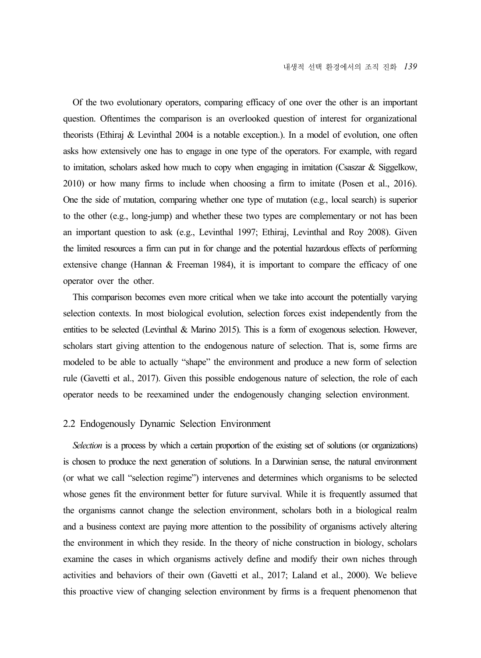Of the two evolutionary operators, comparing efficacy of one over the other is an important question. Oftentimes the comparison is an overlooked question of interest for organizational theorists (Ethiraj & Levinthal 2004 is a notable exception.). In a model of evolution, one often asks how extensively one has to engage in one type of the operators. For example, with regard to imitation, scholars asked how much to copy when engaging in imitation (Csaszar & Siggelkow, 2010) or how many firms to include when choosing a firm to imitate (Posen et al., 2016). One the side of mutation, comparing whether one type of mutation (e.g., local search) is superior to the other (e.g., long-jump) and whether these two types are complementary or not has been an important question to ask (e.g., Levinthal 1997; Ethiraj, Levinthal and Roy 2008). Given the limited resources a firm can put in for change and the potential hazardous effects of performing extensive change (Hannan & Freeman 1984), it is important to compare the efficacy of one operator over the other.

This comparison becomes even more critical when we take into account the potentially varying selection contexts. In most biological evolution, selection forces exist independently from the entities to be selected (Levinthal  $\&$  Marino 2015). This is a form of exogenous selection. However, scholars start giving attention to the endogenous nature of selection. That is, some firms are modeled to be able to actually "shape" the environment and produce a new form of selection rule (Gavetti et al., 2017). Given this possible endogenous nature of selection, the role of each operator needs to be reexamined under the endogenously changing selection environment.

### 2.2 Endogenously Dynamic Selection Environment

*Selection* is a process by which a certain proportion of the existing set of solutions (or organizations) is chosen to produce the next generation of solutions. In a Darwinian sense, the natural environment (or what we call "selection regime") intervenes and determines which organisms to be selected whose genes fit the environment better for future survival. While it is frequently assumed that the organisms cannot change the selection environment, scholars both in a biological realm and a business context are paying more attention to the possibility of organisms actively altering the environment in which they reside. In the theory of niche construction in biology, scholars examine the cases in which organisms actively define and modify their own niches through activities and behaviors of their own (Gavetti et al., 2017; Laland et al., 2000). We believe this proactive view of changing selection environment by firms is a frequent phenomenon that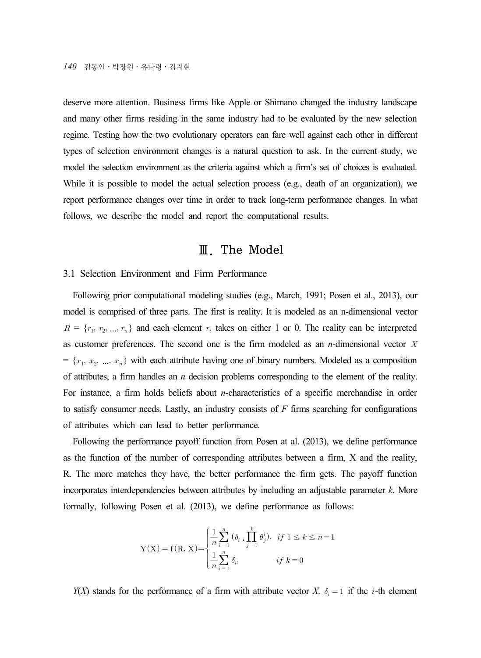*140* 김동인․박장원․유나령․김지현

deserve more attention. Business firms like Apple or Shimano changed the industry landscape and many other firms residing in the same industry had to be evaluated by the new selection regime. Testing how the two evolutionary operators can fare well against each other in different types of selection environment changes is a natural question to ask. In the current study, we model the selection environment as the criteria against which a firm's set of choices is evaluated. While it is possible to model the actual selection process (e.g., death of an organization), we report performance changes over time in order to track long-term performance changes. In what follows, we describe the model and report the computational results.

# Ⅲ. The Model

### 3.1 Selection Environment and Firm Performance

Following prior computational modeling studies (e.g., March, 1991; Posen et al., 2013), our model is comprised of three parts. The first is reality. It is modeled as an n-dimensional vector  $R = \{r_1, r_2, ..., r_n\}$  and each element  $r_i$  takes on either 1 or 0. The reality can be interpreted as customer preferences. The second one is the firm modeled as an  $n$ -dimensional vector  $X$  $= \{x_1, x_2, ..., x_n\}$  with each attribute having one of binary numbers. Modeled as a composition of attributes, a firm handles an *n* decision problems corresponding to the element of the reality. For instance, a firm holds beliefs about *n*-characteristics of a specific merchandise in order to satisfy consumer needs. Lastly, an industry consists of *F* firms searching for configurations of attributes which can lead to better performance.

Following the performance payoff function from Posen at al. (2013), we define performance as the function of the number of corresponding attributes between a firm, X and the reality, R. The more matches they have, the better performance the firm gets. The payoff function incorporates interdependencies between attributes by including an adjustable parameter *k*. More formally, following Posen et al. (2013), we define performance as follows:

$$
Y(X) = f(R, X) = \begin{cases} \frac{1}{n} \sum_{i=1}^{n} (\delta_i \cdot \prod_{j=1}^{k} \theta_j^i), & \text{if } 1 \le k \le n - 1\\ \frac{1}{n} \sum_{i=1}^{n} \delta_i, & \text{if } k = 0 \end{cases}
$$

*Y*(*X*) stands for the performance of a firm with attribute vector *X*.  $\delta_i = 1$  if the *i*-th element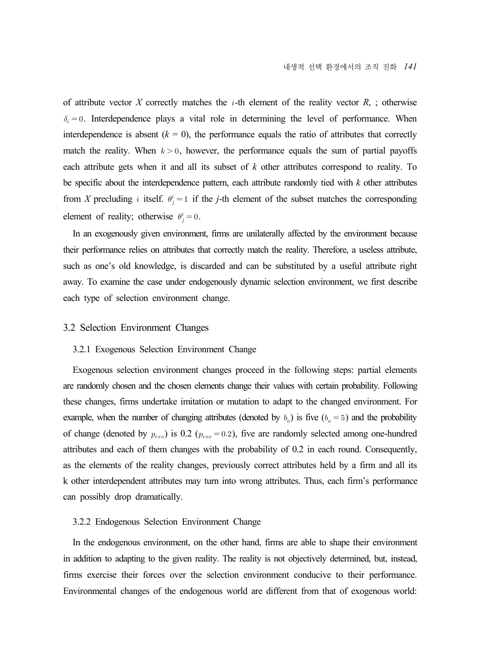of attribute vector *X* correctly matches the  $i$ -th element of the reality vector  $R$ , ; otherwise  $\delta_i = 0$ . Interdependence plays a vital role in determining the level of performance. When interdependence is absent  $(k = 0)$ , the performance equals the ratio of attributes that correctly match the reality. When  $k > 0$ , however, the performance equals the sum of partial payoffs each attribute gets when it and all its subset of *k* other attributes correspond to reality. To be specific about the interdependence pattern, each attribute randomly tied with *k* other attributes from *X* precluding *i* itself.  $\theta_j^i = 1$  if the *j*-th element of the subset matches the corresponding element of reality; otherwise  $\theta_j^i = 0$ .

In an exogenously given environment, firms are unilaterally affected by the environment because their performance relies on attributes that correctly match the reality. Therefore, a useless attribute, such as one's old knowledge, is discarded and can be substituted by a useful attribute right away. To examine the case under endogenously dynamic selection environment, we first describe each type of selection environment change.

### 3.2 Selection Environment Changes

#### 3.2.1 Exogenous Selection Environment Change

Exogenous selection environment changes proceed in the following steps: partial elements are randomly chosen and the chosen elements change their values with certain probability. Following these changes, firms undertake imitation or mutation to adapt to the changed environment. For example, when the number of changing attributes (denoted by  $b_a$ ) is five  $(b_a = 5)$  and the probability of change (denoted by  $p_{exo}$ ) is 0.2 ( $p_{exo} = 0.2$ ), five are randomly selected among one-hundred attributes and each of them changes with the probability of 0.2 in each round. Consequently, as the elements of the reality changes, previously correct attributes held by a firm and all its k other interdependent attributes may turn into wrong attributes. Thus, each firm's performance can possibly drop dramatically.

#### 3.2.2 Endogenous Selection Environment Change

In the endogenous environment, on the other hand, firms are able to shape their environment in addition to adapting to the given reality. The reality is not objectively determined, but, instead, firms exercise their forces over the selection environment conducive to their performance. Environmental changes of the endogenous world are different from that of exogenous world: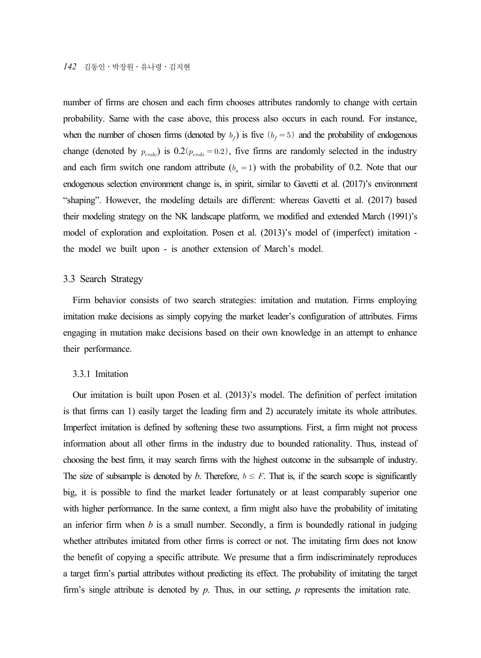number of firms are chosen and each firm chooses attributes randomly to change with certain probability. Same with the case above, this process also occurs in each round. For instance, when the number of chosen firms (denoted by  $b_f$ ) is five  $(b_f = 5)$  and the probability of endogenous change (denoted by  $p_{\text{endo}}$ ) is  $0.2 (p_{\text{endo}} = 0.2)$ , five firms are randomly selected in the industry and each firm switch one random attribute  $(b<sub>a</sub> = 1)$  with the probability of 0.2. Note that our endogenous selection environment change is, in spirit, similar to Gavetti et al. (2017)'s environment "shaping". However, the modeling details are different: whereas Gavetti et al. (2017) based their modeling strategy on the NK landscape platform, we modified and extended March (1991)'s model of exploration and exploitation. Posen et al. (2013)'s model of (imperfect) imitation the model we built upon - is another extension of March's model.

### 3.3 Search Strategy

Firm behavior consists of two search strategies: imitation and mutation. Firms employing imitation make decisions as simply copying the market leader's configuration of attributes. Firms engaging in mutation make decisions based on their own knowledge in an attempt to enhance their performance.

### 3.3.1 Imitation

Our imitation is built upon Posen et al. (2013)'s model. The definition of perfect imitation is that firms can 1) easily target the leading firm and 2) accurately imitate its whole attributes. Imperfect imitation is defined by softening these two assumptions. First, a firm might not process information about all other firms in the industry due to bounded rationality. Thus, instead of choosing the best firm, it may search firms with the highest outcome in the subsample of industry. The size of subsample is denoted by *b*. Therefore,  $b \leq F$ . That is, if the search scope is significantly big, it is possible to find the market leader fortunately or at least comparably superior one with higher performance. In the same context, a firm might also have the probability of imitating an inferior firm when  $b$  is a small number. Secondly, a firm is boundedly rational in judging whether attributes imitated from other firms is correct or not. The imitating firm does not know the benefit of copying a specific attribute. We presume that a firm indiscriminately reproduces a target firm's partial attributes without predicting its effect. The probability of imitating the target firm's single attribute is denoted by *p*. Thus, in our setting, *p* represents the imitation rate.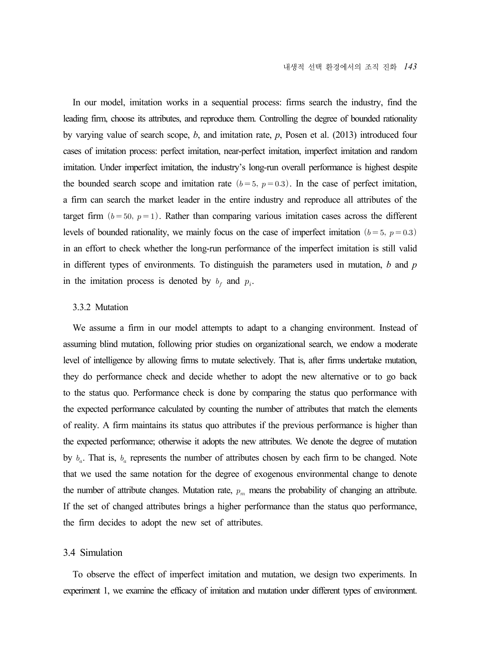In our model, imitation works in a sequential process: firms search the industry, find the leading firm, choose its attributes, and reproduce them. Controlling the degree of bounded rationality by varying value of search scope, *b*, and imitation rate, *p*, Posen et al. (2013) introduced four cases of imitation process: perfect imitation, near-perfect imitation, imperfect imitation and random imitation. Under imperfect imitation, the industry's long-run overall performance is highest despite the bounded search scope and imitation rate  $(b=5, p=0.3)$ . In the case of perfect imitation, a firm can search the market leader in the entire industry and reproduce all attributes of the target firm  $(b=50, p=1)$ . Rather than comparing various imitation cases across the different levels of bounded rationality, we mainly focus on the case of imperfect imitation  $(b=5, p=0.3)$ in an effort to check whether the long-run performance of the imperfect imitation is still valid in different types of environments. To distinguish the parameters used in mutation, *b* and *p* in the imitation process is denoted by  $b_f$  and  $p_i$ .

### 3.3.2 Mutation

We assume a firm in our model attempts to adapt to a changing environment. Instead of assuming blind mutation, following prior studies on organizational search, we endow a moderate level of intelligence by allowing firms to mutate selectively. That is, after firms undertake mutation, they do performance check and decide whether to adopt the new alternative or to go back to the status quo. Performance check is done by comparing the status quo performance with the expected performance calculated by counting the number of attributes that match the elements of reality. A firm maintains its status quo attributes if the previous performance is higher than the expected performance; otherwise it adopts the new attributes. We denote the degree of mutation by  $b_a$ . That is,  $b_a$  represents the number of attributes chosen by each firm to be changed. Note that we used the same notation for the degree of exogenous environmental change to denote the number of attribute changes. Mutation rate,  $p_m$  means the probability of changing an attribute. If the set of changed attributes brings a higher performance than the status quo performance, the firm decides to adopt the new set of attributes.

# 3.4 Simulation

To observe the effect of imperfect imitation and mutation, we design two experiments. In experiment 1, we examine the efficacy of imitation and mutation under different types of environment.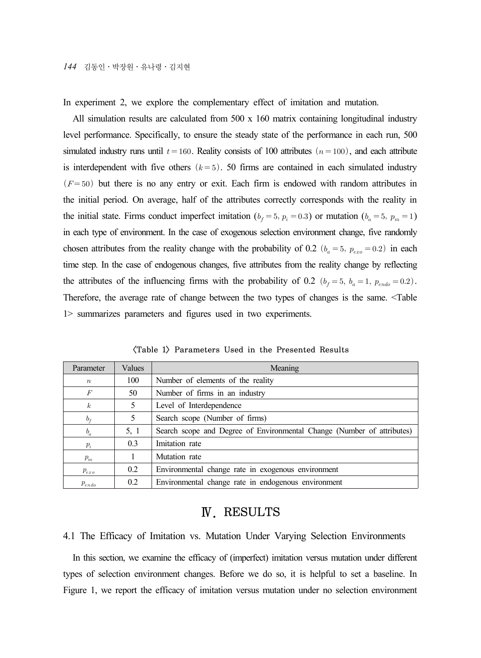In experiment 2, we explore the complementary effect of imitation and mutation.

All simulation results are calculated from 500 x 160 matrix containing longitudinal industry level performance. Specifically, to ensure the steady state of the performance in each run, 500 simulated industry runs until  $t = 160$ . Reality consists of 100 attributes  $(n = 100)$ , and each attribute is interdependent with five others  $(k=5)$ . 50 firms are contained in each simulated industry  $(F=50)$  but there is no any entry or exit. Each firm is endowed with random attributes in the initial period. On average, half of the attributes correctly corresponds with the reality in the initial state. Firms conduct imperfect imitation ( $b_f = 5$ ,  $p_i = 0.3$ ) or mutation ( $b_a = 5$ ,  $p_m = 1$ ) in each type of environment. In the case of exogenous selection environment change, five randomly chosen attributes from the reality change with the probability of 0.2  $(b_a = 5, p_{exo} = 0.2)$  in each time step. In the case of endogenous changes, five attributes from the reality change by reflecting the attributes of the influencing firms with the probability of 0.2  $(b_f = 5, b_a = 1, p_{endo} = 0.2)$ . Therefore, the average rate of change between the two types of changes is the same. <Table 1> summarizes parameters and figures used in two experiments.

| Parameter        | Values | Meaning                                                                |
|------------------|--------|------------------------------------------------------------------------|
| $\boldsymbol{n}$ | 100    | Number of elements of the reality                                      |
| F                | 50     | Number of firms in an industry                                         |
| $\boldsymbol{k}$ | 5      | Level of Interdependence                                               |
| $b_{\ell}$       | 5      | Search scope (Number of firms)                                         |
| $b_a$            | 5, 1   | Search scope and Degree of Environmental Change (Number of attributes) |
| $p_i$            | 0.3    | Imitation rate                                                         |
| $p_m$            |        | Mutation rate                                                          |
| $p_{exo}$        | 0.2    | Environmental change rate in exogenous environment                     |
| $p_{endo}$       | 0.2    | Environmental change rate in endogenous environment                    |

<Table 1> Parameters Used in the Presented Results

# Ⅳ. RESULTS

4.1 The Efficacy of Imitation vs. Mutation Under Varying Selection Environments

In this section, we examine the efficacy of (imperfect) imitation versus mutation under different types of selection environment changes. Before we do so, it is helpful to set a baseline. In Figure 1, we report the efficacy of imitation versus mutation under no selection environment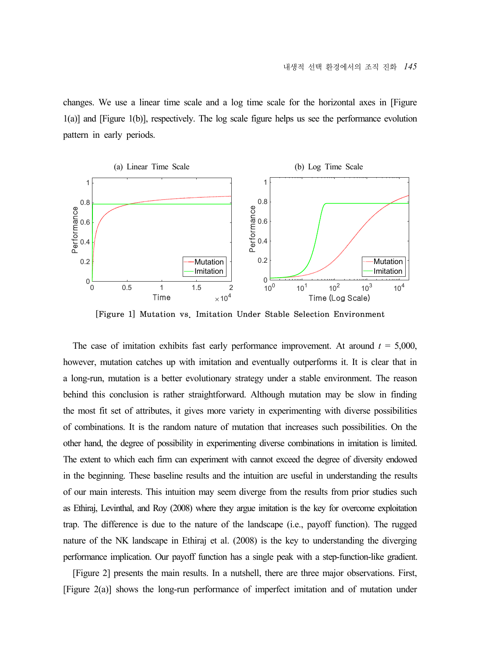changes. We use a linear time scale and a log time scale for the horizontal axes in [Figure 1(a)] and [Figure 1(b)], respectively. The log scale figure helps us see the performance evolution pattern in early periods.



[Figure 1] Mutation vs. Imitation Under Stable Selection Environment

The case of imitation exhibits fast early performance improvement. At around  $t = 5,000$ , however, mutation catches up with imitation and eventually outperforms it. It is clear that in a long-run, mutation is a better evolutionary strategy under a stable environment. The reason behind this conclusion is rather straightforward. Although mutation may be slow in finding the most fit set of attributes, it gives more variety in experimenting with diverse possibilities of combinations. It is the random nature of mutation that increases such possibilities. On the other hand, the degree of possibility in experimenting diverse combinations in imitation is limited. The extent to which each firm can experiment with cannot exceed the degree of diversity endowed in the beginning. These baseline results and the intuition are useful in understanding the results of our main interests. This intuition may seem diverge from the results from prior studies such as Ethiraj, Levinthal, and Roy (2008) where they argue imitation is the key for overcome exploitation trap. The difference is due to the nature of the landscape (i.e., payoff function). The rugged nature of the NK landscape in Ethiraj et al. (2008) is the key to understanding the diverging performance implication. Our payoff function has a single peak with a step-function-like gradient.

[Figure 2] presents the main results. In a nutshell, there are three major observations. First, [Figure 2(a)] shows the long-run performance of imperfect imitation and of mutation under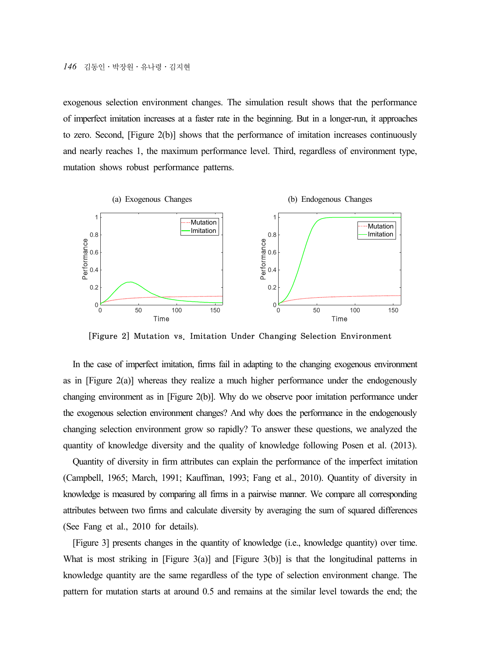exogenous selection environment changes. The simulation result shows that the performance of imperfect imitation increases at a faster rate in the beginning. But in a longer-run, it approaches to zero. Second, [Figure 2(b)] shows that the performance of imitation increases continuously and nearly reaches 1, the maximum performance level. Third, regardless of environment type, mutation shows robust performance patterns.



[Figure 2] Mutation vs. Imitation Under Changing Selection Environment

In the case of imperfect imitation, firms fail in adapting to the changing exogenous environment as in [Figure  $2(a)$ ] whereas they realize a much higher performance under the endogenously changing environment as in [Figure 2(b)]. Why do we observe poor imitation performance under the exogenous selection environment changes? And why does the performance in the endogenously changing selection environment grow so rapidly? To answer these questions, we analyzed the quantity of knowledge diversity and the quality of knowledge following Posen et al. (2013).

Quantity of diversity in firm attributes can explain the performance of the imperfect imitation (Campbell, 1965; March, 1991; Kauffman, 1993; Fang et al., 2010). Quantity of diversity in knowledge is measured by comparing all firms in a pairwise manner. We compare all corresponding attributes between two firms and calculate diversity by averaging the sum of squared differences (See Fang et al., 2010 for details).

[Figure 3] presents changes in the quantity of knowledge (i.e., knowledge quantity) over time. What is most striking in [Figure 3(a)] and [Figure 3(b)] is that the longitudinal patterns in knowledge quantity are the same regardless of the type of selection environment change. The pattern for mutation starts at around 0.5 and remains at the similar level towards the end; the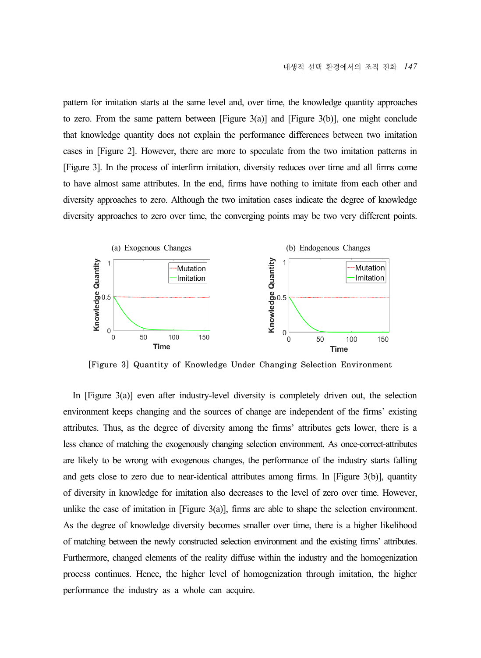pattern for imitation starts at the same level and, over time, the knowledge quantity approaches to zero. From the same pattern between [Figure 3(a)] and [Figure 3(b)], one might conclude that knowledge quantity does not explain the performance differences between two imitation cases in [Figure 2]. However, there are more to speculate from the two imitation patterns in [Figure 3]. In the process of interfirm imitation, diversity reduces over time and all firms come to have almost same attributes. In the end, firms have nothing to imitate from each other and diversity approaches to zero. Although the two imitation cases indicate the degree of knowledge diversity approaches to zero over time, the converging points may be two very different points.



[Figure 3] Quantity of Knowledge Under Changing Selection Environment

In  $[F\text{igure } 3(a)]$  even after industry-level diversity is completely driven out, the selection environment keeps changing and the sources of change are independent of the firms' existing attributes. Thus, as the degree of diversity among the firms' attributes gets lower, there is a less chance of matching the exogenously changing selection environment. As once-correct-attributes are likely to be wrong with exogenous changes, the performance of the industry starts falling and gets close to zero due to near-identical attributes among firms. In [Figure 3(b)], quantity of diversity in knowledge for imitation also decreases to the level of zero over time. However, unlike the case of imitation in  $[Figure 3(a)]$ , firms are able to shape the selection environment. As the degree of knowledge diversity becomes smaller over time, there is a higher likelihood of matching between the newly constructed selection environment and the existing firms' attributes. Furthermore, changed elements of the reality diffuse within the industry and the homogenization process continues. Hence, the higher level of homogenization through imitation, the higher performance the industry as a whole can acquire.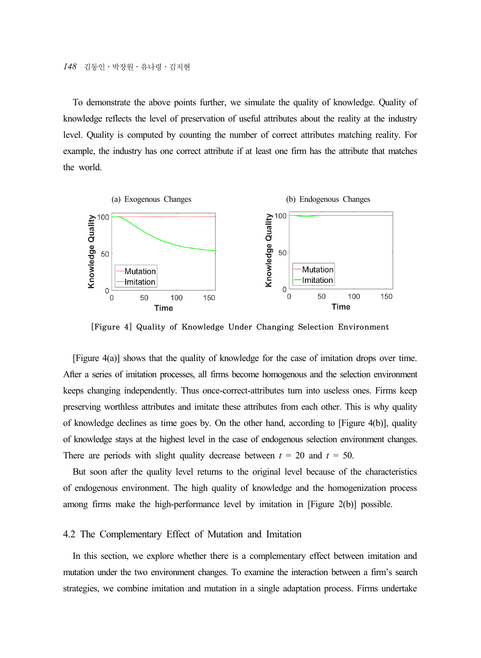To demonstrate the above points further, we simulate the quality of knowledge. Quality of knowledge reflects the level of preservation of useful attributes about the reality at the industry level. Quality is computed by counting the number of correct attributes matching reality. For example, the industry has one correct attribute if at least one firm has the attribute that matches the world.



[Figure 4] Quality of Knowledge Under Changing Selection Environment

[Figure 4(a)] shows that the quality of knowledge for the case of imitation drops over time. After a series of imitation processes, all firms become homogenous and the selection environment keeps changing independently. Thus once-correct-attributes turn into useless ones. Firms keep preserving worthless attributes and imitate these attributes from each other. This is why quality of knowledge declines as time goes by. On the other hand, according to [Figure 4(b)], quality of knowledge stays at the highest level in the case of endogenous selection environment changes. There are periods with slight quality decrease between  $t = 20$  and  $t = 50$ .

But soon after the quality level returns to the original level because of the characteristics of endogenous environment. The high quality of knowledge and the homogenization process among firms make the high-performance level by imitation in [Figure 2(b)] possible.

### 4.2 The Complementary Effect of Mutation and Imitation

In this section, we explore whether there is a complementary effect between imitation and mutation under the two environment changes. To examine the interaction between a firm's search strategies, we combine imitation and mutation in a single adaptation process. Firms undertake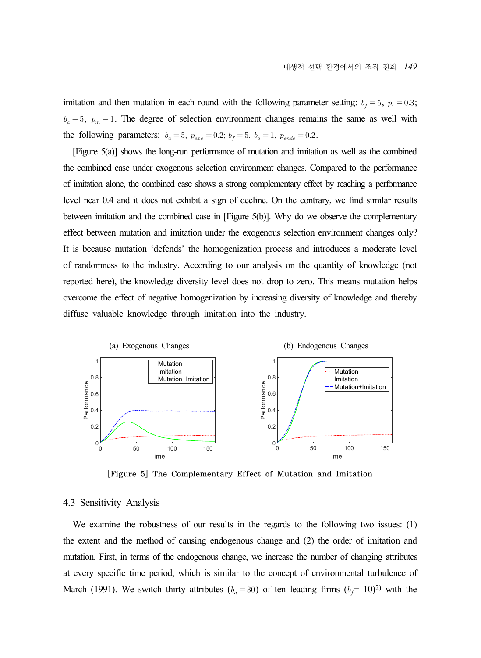imitation and then mutation in each round with the following parameter setting:  $b_f = 5$ ,  $p_i = 0.3$ ;  $b_a = 5$ ,  $p_m = 1$ . The degree of selection environment changes remains the same as well with the following parameters:  $b_a = 5$ ,  $p_{exo} = 0.2$ ;  $b_f = 5$ ,  $b_a = 1$ ,  $p_{endo} = 0.2$ .

[Figure 5(a)] shows the long-run performance of mutation and imitation as well as the combined the combined case under exogenous selection environment changes. Compared to the performance of imitation alone, the combined case shows a strong complementary effect by reaching a performance level near 0.4 and it does not exhibit a sign of decline. On the contrary, we find similar results between imitation and the combined case in [Figure 5(b)]. Why do we observe the complementary effect between mutation and imitation under the exogenous selection environment changes only? It is because mutation 'defends' the homogenization process and introduces a moderate level of randomness to the industry. According to our analysis on the quantity of knowledge (not reported here), the knowledge diversity level does not drop to zero. This means mutation helps overcome the effect of negative homogenization by increasing diversity of knowledge and thereby diffuse valuable knowledge through imitation into the industry.



[Figure 5] The Complementary Effect of Mutation and Imitation

### 4.3 Sensitivity Analysis

We examine the robustness of our results in the regards to the following two issues: (1) the extent and the method of causing endogenous change and (2) the order of imitation and mutation. First, in terms of the endogenous change, we increase the number of changing attributes at every specific time period, which is similar to the concept of environmental turbulence of March (1991). We switch thirty attributes ( $b_a = 30$ ) of ten leading firms ( $b_f = 10$ )<sup>2</sup>) with the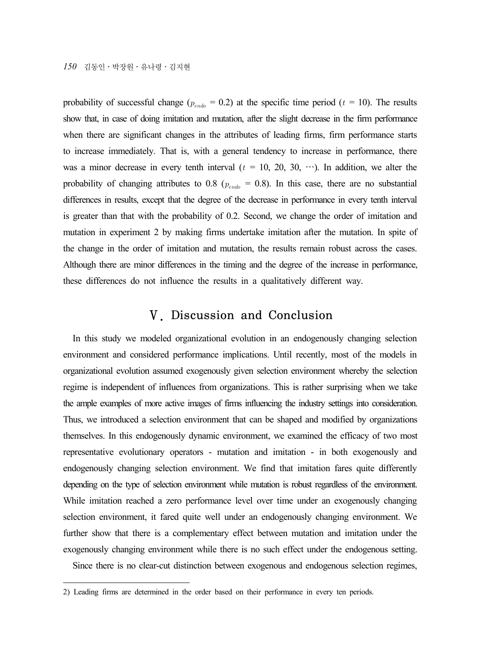*150* 김동인․박장원․유나령․김지현

probability of successful change ( $p_{endo} = 0.2$ ) at the specific time period ( $t = 10$ ). The results show that, in case of doing imitation and mutation, after the slight decrease in the firm performance when there are significant changes in the attributes of leading firms, firm performance starts to increase immediately. That is, with a general tendency to increase in performance, there was a minor decrease in every tenth interval  $(t = 10, 20, 30, \cdots)$ . In addition, we alter the probability of changing attributes to 0.8 ( $p_{endo} = 0.8$ ). In this case, there are no substantial differences in results, except that the degree of the decrease in performance in every tenth interval is greater than that with the probability of 0.2. Second, we change the order of imitation and mutation in experiment 2 by making firms undertake imitation after the mutation. In spite of the change in the order of imitation and mutation, the results remain robust across the cases. Although there are minor differences in the timing and the degree of the increase in performance, these differences do not influence the results in a qualitatively different way.

# Ⅴ. Discussion and Conclusion

In this study we modeled organizational evolution in an endogenously changing selection environment and considered performance implications. Until recently, most of the models in organizational evolution assumed exogenously given selection environment whereby the selection regime is independent of influences from organizations. This is rather surprising when we take the ample examples of more active images of firms influencing the industry settings into consideration. Thus, we introduced a selection environment that can be shaped and modified by organizations themselves. In this endogenously dynamic environment, we examined the efficacy of two most representative evolutionary operators - mutation and imitation - in both exogenously and endogenously changing selection environment. We find that imitation fares quite differently depending on the type of selection environment while mutation is robust regardless of the environment. While imitation reached a zero performance level over time under an exogenously changing selection environment, it fared quite well under an endogenously changing environment. We further show that there is a complementary effect between mutation and imitation under the exogenously changing environment while there is no such effect under the endogenous setting.

Since there is no clear-cut distinction between exogenous and endogenous selection regimes,

<sup>2)</sup> Leading firms are determined in the order based on their performance in every ten periods.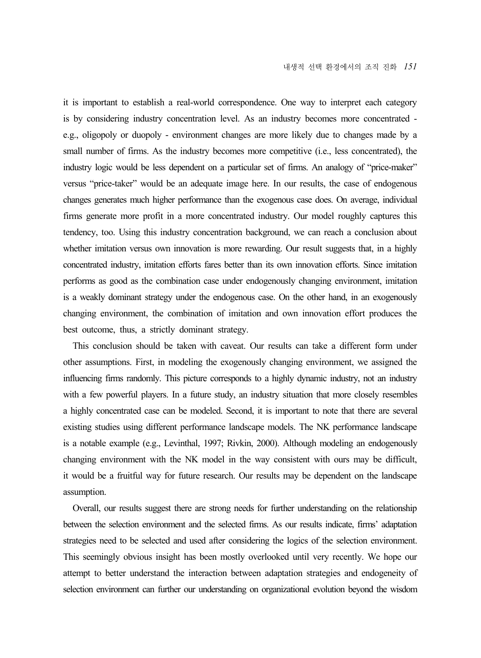it is important to establish a real-world correspondence. One way to interpret each category is by considering industry concentration level. As an industry becomes more concentrated e.g., oligopoly or duopoly - environment changes are more likely due to changes made by a small number of firms. As the industry becomes more competitive (i.e., less concentrated), the industry logic would be less dependent on a particular set of firms. An analogy of "price-maker" versus "price-taker" would be an adequate image here. In our results, the case of endogenous changes generates much higher performance than the exogenous case does. On average, individual firms generate more profit in a more concentrated industry. Our model roughly captures this tendency, too. Using this industry concentration background, we can reach a conclusion about whether imitation versus own innovation is more rewarding. Our result suggests that, in a highly concentrated industry, imitation efforts fares better than its own innovation efforts. Since imitation performs as good as the combination case under endogenously changing environment, imitation is a weakly dominant strategy under the endogenous case. On the other hand, in an exogenously changing environment, the combination of imitation and own innovation effort produces the best outcome, thus, a strictly dominant strategy.

This conclusion should be taken with caveat. Our results can take a different form under other assumptions. First, in modeling the exogenously changing environment, we assigned the influencing firms randomly. This picture corresponds to a highly dynamic industry, not an industry with a few powerful players. In a future study, an industry situation that more closely resembles a highly concentrated case can be modeled. Second, it is important to note that there are several existing studies using different performance landscape models. The NK performance landscape is a notable example (e.g., Levinthal, 1997; Rivkin, 2000). Although modeling an endogenously changing environment with the NK model in the way consistent with ours may be difficult, it would be a fruitful way for future research. Our results may be dependent on the landscape assumption.

Overall, our results suggest there are strong needs for further understanding on the relationship between the selection environment and the selected firms. As our results indicate, firms' adaptation strategies need to be selected and used after considering the logics of the selection environment. This seemingly obvious insight has been mostly overlooked until very recently. We hope our attempt to better understand the interaction between adaptation strategies and endogeneity of selection environment can further our understanding on organizational evolution beyond the wisdom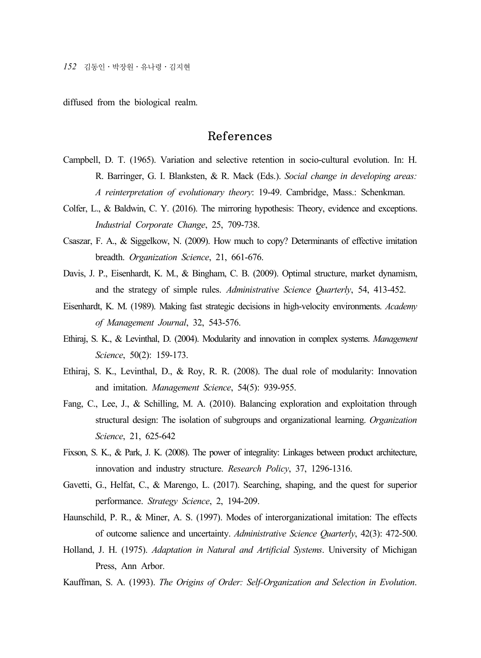diffused from the biological realm.

# References

- Campbell, D. T. (1965). Variation and selective retention in socio-cultural evolution. In: H. R. Barringer, G. I. Blanksten, & R. Mack (Eds.). *Social change in developing areas: A reinterpretation of evolutionary theory*: 19-49. Cambridge, Mass.: Schenkman.
- Colfer, L., & Baldwin, C. Y. (2016). The mirroring hypothesis: Theory, evidence and exceptions. *Industrial Corporate Change*, 25, 709-738.
- Csaszar, F. A., & Siggelkow, N. (2009). How much to copy? Determinants of effective imitation breadth. *Organization Science*, 21, 661-676.
- Davis, J. P., Eisenhardt, K. M., & Bingham, C. B. (2009). Optimal structure, market dynamism, and the strategy of simple rules. *Administrative Science Quarterly*, 54, 413-452.
- Eisenhardt, K. M. (1989). Making fast strategic decisions in high-velocity environments. *Academy of Management Journal*, 32, 543-576.
- Ethiraj, S. K., & Levinthal, D. (2004). Modularity and innovation in complex systems. *Management Science*, 50(2): 159-173.
- Ethiraj, S. K., Levinthal, D., & Roy, R. R. (2008). The dual role of modularity: Innovation and imitation. *Management Science*, 54(5): 939-955.
- Fang, C., Lee, J., & Schilling, M. A. (2010). Balancing exploration and exploitation through structural design: The isolation of subgroups and organizational learning. *Organization Science*, 21, 625-642
- Fixson, S. K., & Park, J. K. (2008). The power of integrality: Linkages between product architecture, innovation and industry structure. *Research Policy*, 37, 1296-1316.
- Gavetti, G., Helfat, C., & Marengo, L. (2017). Searching, shaping, and the quest for superior performance. *Strategy Science*, 2, 194-209.
- Haunschild, P. R., & Miner, A. S. (1997). Modes of interorganizational imitation: The effects of outcome salience and uncertainty. *Administrative Science Quarterly*, 42(3): 472-500.
- Holland, J. H. (1975). *Adaptation in Natural and Artificial Systems*. University of Michigan Press, Ann Arbor.
- Kauffman, S. A. (1993). *The Origins of Order: Self-Organization and Selection in Evolution*.